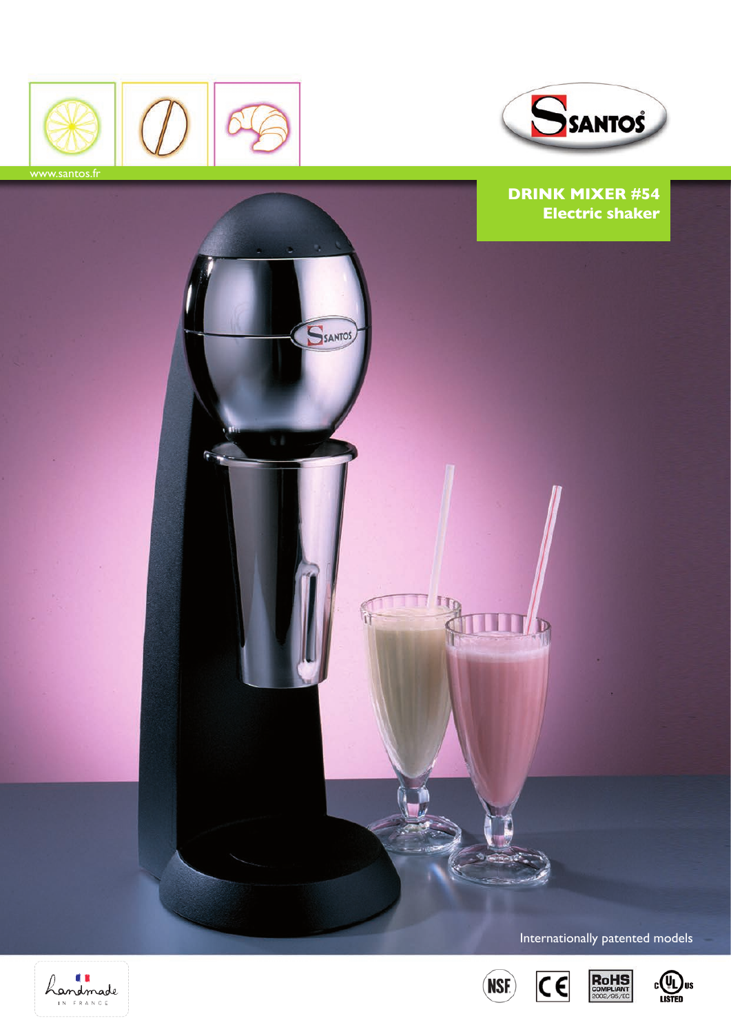

SSANTOS

 $\frac{1}{1}$ 



### **Drink Mixer #54 Electric shaker**

Internationally patented models





D



 $C\epsilon$ 

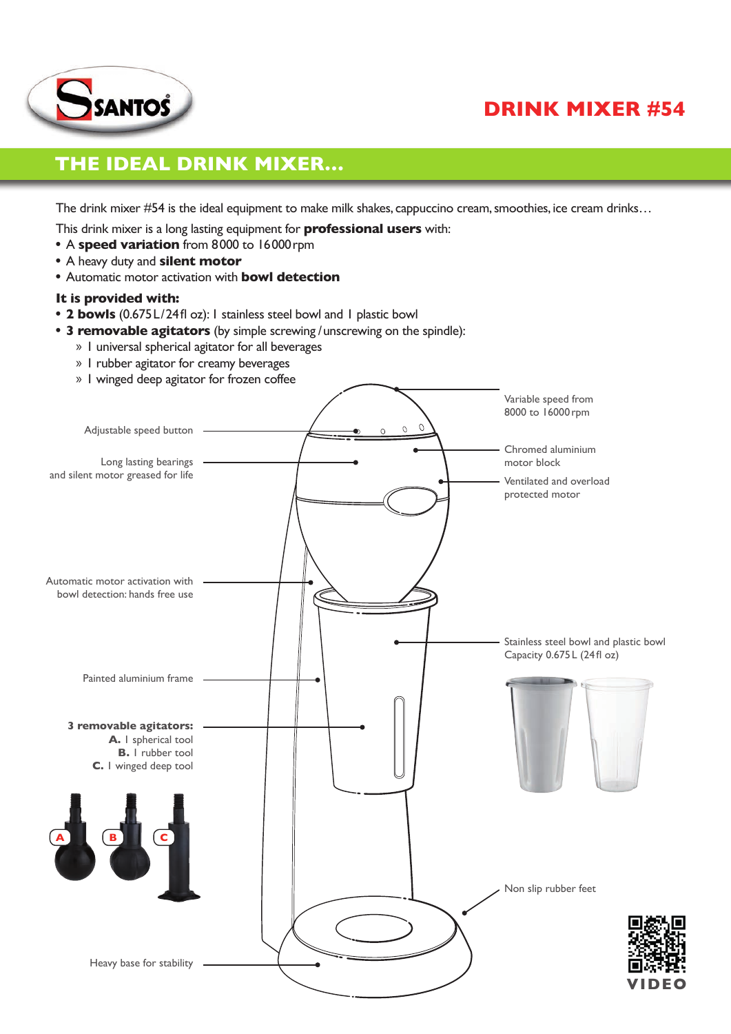

# **Drink mixer #54**

**VIDEO**

# **The ideal drink mixer…**

The drink mixer #54 is the ideal equipment to make milk shakes, cappuccino cream, smoothies, ice cream drinks...

This drink mixer is a long lasting equipment for **professional users** with:

- A **speed variation** from 8000 to 16000rpm
- A heavy duty and **silent motor**
- Automatic motor activation with **bowl detection**

#### **It is provided with:**

- **• 2 bowls** (0.675L/24fl oz): 1 stainless steel bowl and 1 plastic bowl
- **• 3 removable agitators** (by simple screwing  /unscrewing on the spindle):
	- » 1 universal spherical agitator for all beverages
	- » 1 rubber agitator for creamy beverages
	- » 1 winged deep agitator for frozen coffee

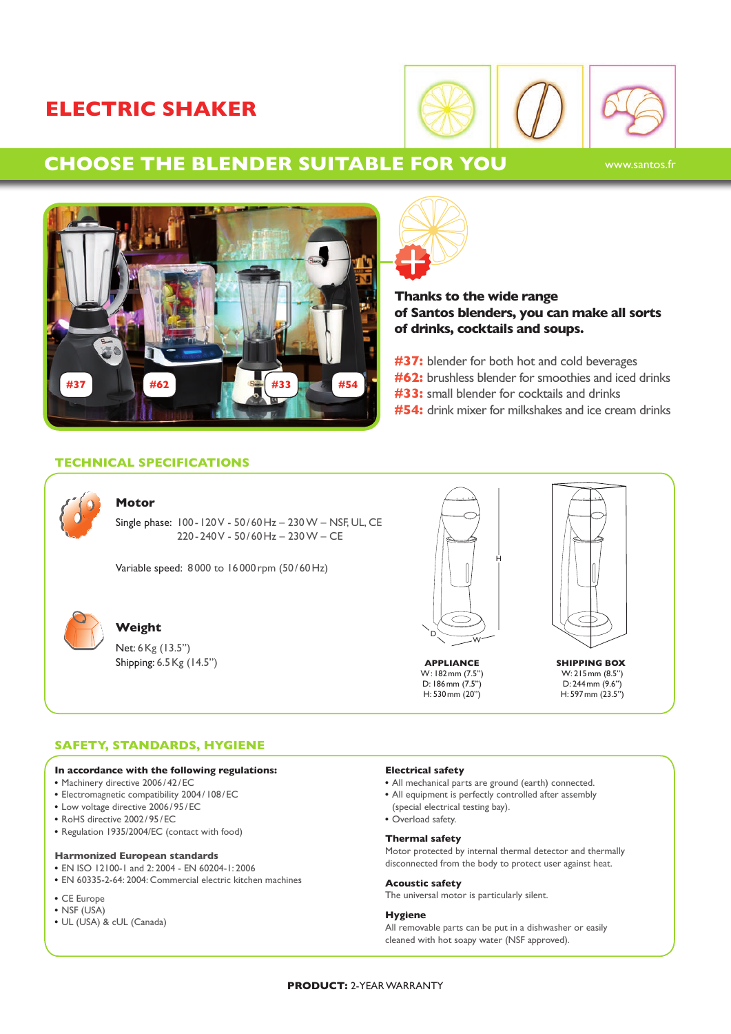# **Electric shaker**



## **Choose the blender suitable for you**

www.santos.fr





#### **Thanks to the wide range of Santos blenders, you can make all sorts of drinks, cocktails and soups.**

**#37:** blender for both hot and cold beverages **#62:** brushless blender for smoothies and iced drinks **#33:** small blender for cocktails and drinks **#54:** drink mixer for milkshakes and ice cream drinks

#### **Technical specifications**



#### **Motor**

Single phase: 100-120 V - 50 / 60Hz – 230 W – NSF, UL, CE 220- 240 V - 50 / 60Hz – 230 W – CE

Variable speed: 8000 to 16000rpm (50/ 60Hz)



#### **Weight**

Net: 6Kg (13.5'') Shipping: 6.5Kg (14.5'')



W: 182mm (7.5'')  $D: 186$  mm  $(7.5")$ H: 530mm (20'')



**APPLIANCE SHIPPING BOX** W: 215mm (8.5'')  $D: 244$  mm  $(9.6")$ H: 597mm (23.5'')

#### **Safety, standards, hygiene**

#### **In accordance with the following regulations:**

- Machinery directive 2006/ 42/ EC
- Electromagnetic compatibility 2004/ 108 /EC
- Low voltage directive 2006/95/ EC
- RoHS directive 2002/ 95/ EC
- Regulation 1935/2004/EC (contact with food)

#### **Harmonized European standards**

- EN ISO 12100-1 and 2: 2004 EN 60204-1: 2006
- EN 60335-2-64: 2004: Commercial electric kitchen machines
- CE Europe
- NSF (USA)
- UL (USA) & cUL (Canada)

#### **Electrical safety**

- All mechanical parts are ground (earth) connected.
- All equipment is perfectly controlled after assembly (special electrical testing bay).
- Overload safety.

#### **Thermal safety**

Motor protected by internal thermal detector and thermally disconnected from the body to protect user against heat.

#### **Acoustic safety**

The universal motor is particularly silent.

#### **Hygiene**

All removable parts can be put in a dishwasher or easily cleaned with hot soapy water (NSF approved).